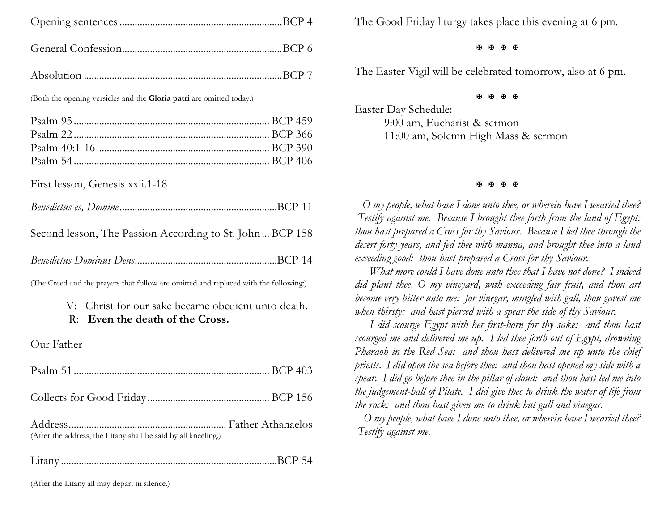(Both the opening versicles and the **Gloria patri** are omitted today.)

First lesson, Genesis xxii.1-18

|--|--|--|--|

Second lesson, The Passion According to St. John ... BCP 158

*Benedictus Dominus Deus*........................................................BCP 14

(The Creed and the prayers that follow are omitted and replaced with the following:)

| V: Christ for our sake became obedient unto death. |
|----------------------------------------------------|
| R: Even the death of the Cross.                    |

Our Father

| (After the address, the Litany shall be said by all kneeling.) |  |
|----------------------------------------------------------------|--|
|                                                                |  |

Litany .....................................................................................BCP 54

The Good Friday liturgy takes place this evening at 6 pm.

#### **A A A A**

The Easter Vigil will be celebrated tomorrow, also at 6 pm.

#### **A A A A**

Easter Day Schedule: 9:00 am, Eucharist & sermon 11:00 am, Solemn High Mass & sermon

### **H H H H**

 *O my people, what have I done unto thee, or wherein have I wearied thee? Testify against me. Because I brought thee forth from the land of Egypt: thou hast prepared a Cross for thy Saviour. Because I led thee through the desert forty years, and fed thee with manna, and brought thee into a land exceeding good: thou hast prepared a Cross for thy Saviour.*

 *What more could I have done unto thee that I have not done? I indeed did plant thee, O my vineyard, with exceeding fair fruit, and thou art become very bitter unto me: for vinegar, mingled with gall, thou gavest me when thirsty: and hast pierced with a spear the side of thy Saviour.*

 *I did scourge Egypt with her first-born for thy sake: and thou hast scourged me and delivered me up. I led thee forth out of Egypt, drowning Pharaoh in the Red Sea: and thou hast delivered me up unto the chief priests. I did open the sea before thee: and thou hast opened my side with a spear. I did go before thee in the pillar of cloud: and thou hast led me into the judgement-hall of Pilate. I did give thee to drink the water of life from the rock: and thou hast given me to drink but gall and vinegar.*

 *O my people, what have I done unto thee, or wherein have I wearied thee? Testify against me.*

(After the Litany all may depart in silence.)